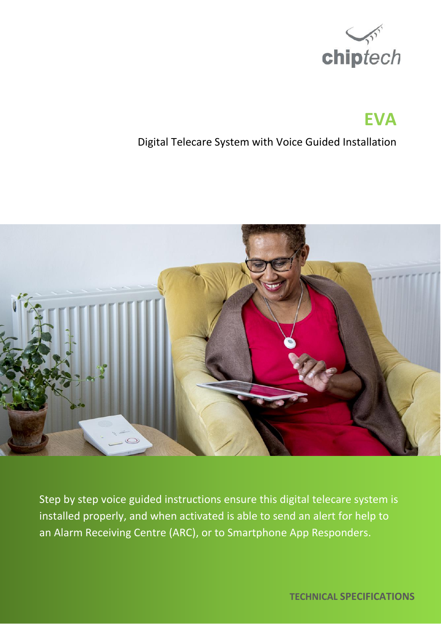

# **EVA**

## Digital Telecare System with Voice Guided Installation



Step by step voice guided instructions ensure this digital telecare system is installed properly, and when activated is able to send an alert for help to an Alarm Receiving Centre (ARC), or to Smartphone App Responders.

 **TECHNICAL SPECIFICATIONS**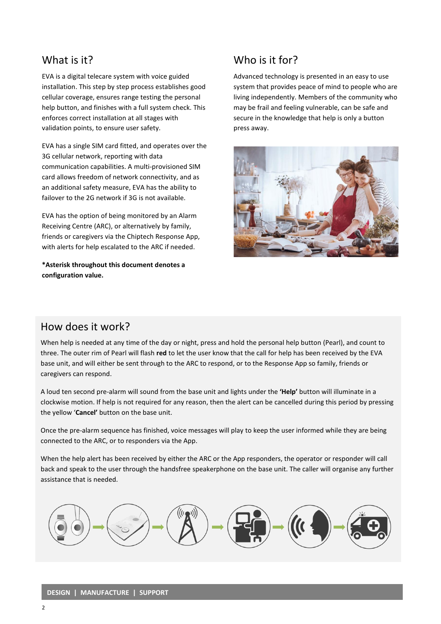#### What is it?

EVA is a digital telecare system with voice guided installation. This step by step process establishes good cellular coverage, ensures range testing the personal help button, and finishes with a full system check. This enforces correct installation at all stages with validation points, to ensure user safety.

EVA has a single SIM card fitted, and operates over the 3G cellular network, reporting with data communication capabilities. A multi-provisioned SIM card allows freedom of network connectivity, and as an additional safety measure, EVA has the ability to failover to the 2G network if 3G is not available.

EVA has the option of being monitored by an Alarm Receiving Centre (ARC), or alternatively by family, friends or caregivers via the Chiptech Response App, with alerts for help escalated to the ARC if needed.

**\*Asterisk throughout this document denotes a configuration value.**

## Who is it for?

Advanced technology is presented in an easy to use system that provides peace of mind to people who are living independently. Members of the community who may be frail and feeling vulnerable, can be safe and secure in the knowledge that help is only a button press away.



## How does it work?

When help is needed at any time of the day or night, press and hold the personal help button (Pearl), and count to three. The outer rim of Pearl will flash **red** to let the user know that the call for help has been received by the EVA base unit, and will either be sent through to the ARC to respond, or to the Response App so family, friends or caregivers can respond.

A loud ten second pre-alarm will sound from the base unit and lights under the **'Help'** button will illuminate in a clockwise motion. If help is not required for any reason, then the alert can be cancelled during this period by pressing the yellow '**Cancel'** button on the base unit.

Once the pre-alarm sequence has finished, voice messages will play to keep the user informed while they are being connected to the ARC, or to responders via the App.

When the help alert has been received by either the ARC or the App responders, the operator or responder will call back and speak to the user through the handsfree speakerphone on the base unit. The caller will organise any further assistance that is needed.

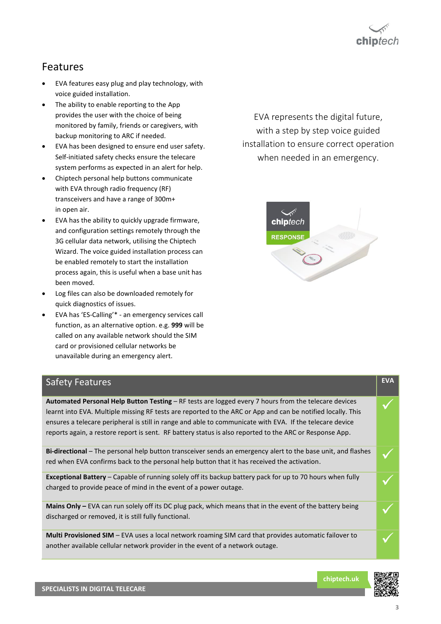

## Features

- EVA features easy plug and play technology, with voice guided installation.
- The ability to enable reporting to the App provides the user with the choice of being monitored by family, friends or caregivers, with backup monitoring to ARC if needed.
- EVA has been designed to ensure end user safety. Self-initiated safety checks ensure the telecare system performs as expected in an alert for help.
- Chiptech personal help buttons communicate with EVA through radio frequency (RF) transceivers and have a range of 300m+ in open air.
- EVA has the ability to quickly upgrade firmware, and configuration settings remotely through the 3G cellular data network, utilising the Chiptech Wizard. The voice guided installation process can be enabled remotely to start the installation process again, this is useful when a base unit has been moved.
- Log files can also be downloaded remotely for quick diagnostics of issues.
- EVA has 'ES-Calling'\* an emergency services call function, as an alternative option. e.g. **999** will be called on any available network should the SIM card or provisioned cellular networks be unavailable during an emergency alert.

EVA represents the digital future, with a step by step voice guided installation to ensure correct operation when needed in an emergency.



| <b>Safety Features</b>                                                                                                                                                                                                                                                                                                                                                                                                                     | <b>EVA</b> |
|--------------------------------------------------------------------------------------------------------------------------------------------------------------------------------------------------------------------------------------------------------------------------------------------------------------------------------------------------------------------------------------------------------------------------------------------|------------|
| Automated Personal Help Button Testing – RF tests are logged every 7 hours from the telecare devices<br>learnt into EVA. Multiple missing RF tests are reported to the ARC or App and can be notified locally. This<br>ensures a telecare peripheral is still in range and able to communicate with EVA. If the telecare device<br>reports again, a restore report is sent. RF battery status is also reported to the ARC or Response App. |            |
| Bi-directional – The personal help button transceiver sends an emergency alert to the base unit, and flashes<br>red when EVA confirms back to the personal help button that it has received the activation.                                                                                                                                                                                                                                |            |
| <b>Exceptional Battery</b> – Capable of running solely off its backup battery pack for up to 70 hours when fully<br>charged to provide peace of mind in the event of a power outage.                                                                                                                                                                                                                                                       |            |
| <b>Mains Only</b> $-$ EVA can run solely off its DC plug pack, which means that in the event of the battery being<br>discharged or removed, it is still fully functional.                                                                                                                                                                                                                                                                  |            |
| Multi Provisioned SIM - EVA uses a local network roaming SIM card that provides automatic failover to<br>another available cellular network provider in the event of a network outage.                                                                                                                                                                                                                                                     |            |

**chiptech.uk**

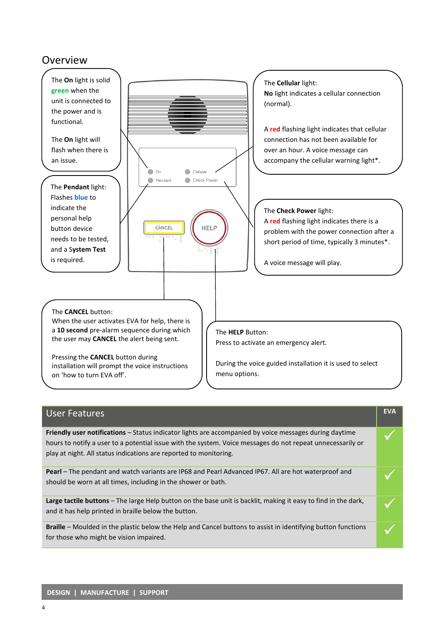## Overview



| <b>User Features</b>                                                                                                                                                                                                                                                                      | <b>EVA</b> |
|-------------------------------------------------------------------------------------------------------------------------------------------------------------------------------------------------------------------------------------------------------------------------------------------|------------|
| Friendly user notifications – Status indicator lights are accompanied by voice messages during daytime<br>hours to notify a user to a potential issue with the system. Voice messages do not repeat unnecessarily or<br>play at night. All status indications are reported to monitoring. |            |
| <b>Pearl</b> – The pendant and watch variants are IP68 and Pearl Advanced IP67. All are hot waterproof and<br>should be worn at all times, including in the shower or bath.                                                                                                               |            |
| Large tactile buttons – The large Help button on the base unit is backlit, making it easy to find in the dark,<br>and it has help printed in braille below the button.                                                                                                                    |            |
| <b>Braille</b> – Moulded in the plastic below the Help and Cancel buttons to assist in identifying button functions<br>for those who might be vision impaired.                                                                                                                            |            |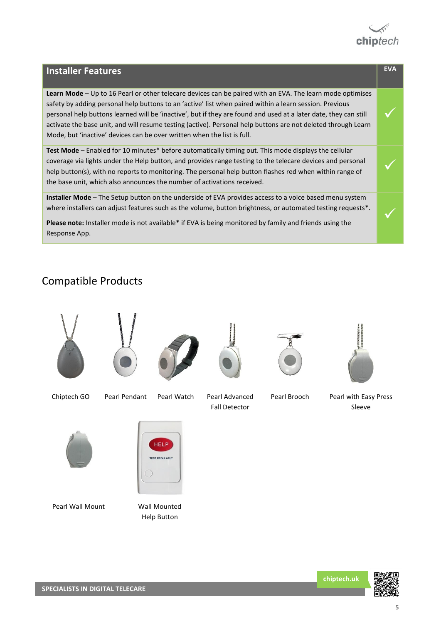

✓

✓

✓

#### **Installer Features EVA**

**Learn Mode** – Up to 16 Pearl or other telecare devices can be paired with an EVA. The learn mode optimises safety by adding personal help buttons to an 'active' list when paired within a learn session. Previous personal help buttons learned will be 'inactive', but if they are found and used at a later date, they can still activate the base unit, and will resume testing (active). Personal help buttons are not deleted through Learn Mode, but 'inactive' devices can be over written when the list is full.

**Test Mode** – Enabled for 10 minutes\* before automatically timing out. This mode displays the cellular coverage via lights under the Help button, and provides range testing to the telecare devices and personal help button(s), with no reports to monitoring. The personal help button flashes red when within range of the base unit, which also announces the number of activations received.

**Installer Mode** – The Setup button on the underside of EVA provides access to a voice based menu system where installers can adjust features such as the volume, button brightness, or automated testing requests\*.

Please note: Installer mode is not available\* if EVA is being monitored by family and friends using the Response App.

#### Compatible Products



**chiptech.uk**

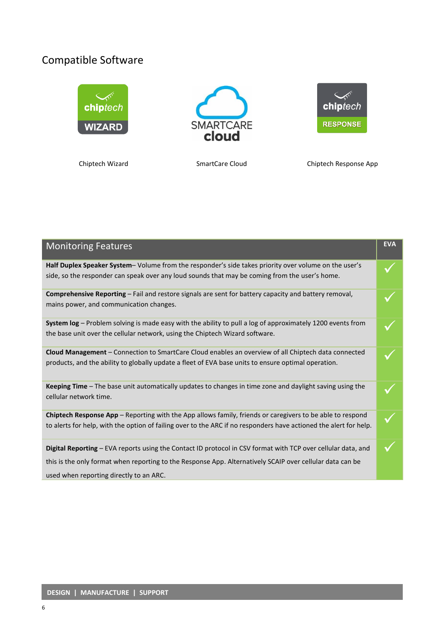# Compatible Software



Chiptech Wizard SmartCare Cloud Chiptech Response App

| <b>Monitoring Features</b>                                                                                                                                                                                                                                           | <b>EVA</b> |
|----------------------------------------------------------------------------------------------------------------------------------------------------------------------------------------------------------------------------------------------------------------------|------------|
| Half Duplex Speaker System- Volume from the responder's side takes priority over volume on the user's<br>side, so the responder can speak over any loud sounds that may be coming from the user's home.                                                              |            |
| Comprehensive Reporting - Fail and restore signals are sent for battery capacity and battery removal,<br>mains power, and communication changes.                                                                                                                     |            |
| System log - Problem solving is made easy with the ability to pull a log of approximately 1200 events from<br>the base unit over the cellular network, using the Chiptech Wizard software.                                                                           |            |
| Cloud Management - Connection to SmartCare Cloud enables an overview of all Chiptech data connected<br>products, and the ability to globally update a fleet of EVA base units to ensure optimal operation.                                                           |            |
| <b>Keeping Time</b> – The base unit automatically updates to changes in time zone and daylight saving using the<br>cellular network time.                                                                                                                            |            |
| Chiptech Response App - Reporting with the App allows family, friends or caregivers to be able to respond<br>to alerts for help, with the option of failing over to the ARC if no responders have actioned the alert for help.                                       |            |
| Digital Reporting - EVA reports using the Contact ID protocol in CSV format with TCP over cellular data, and<br>this is the only format when reporting to the Response App. Alternatively SCAIP over cellular data can be<br>used when reporting directly to an ARC. |            |